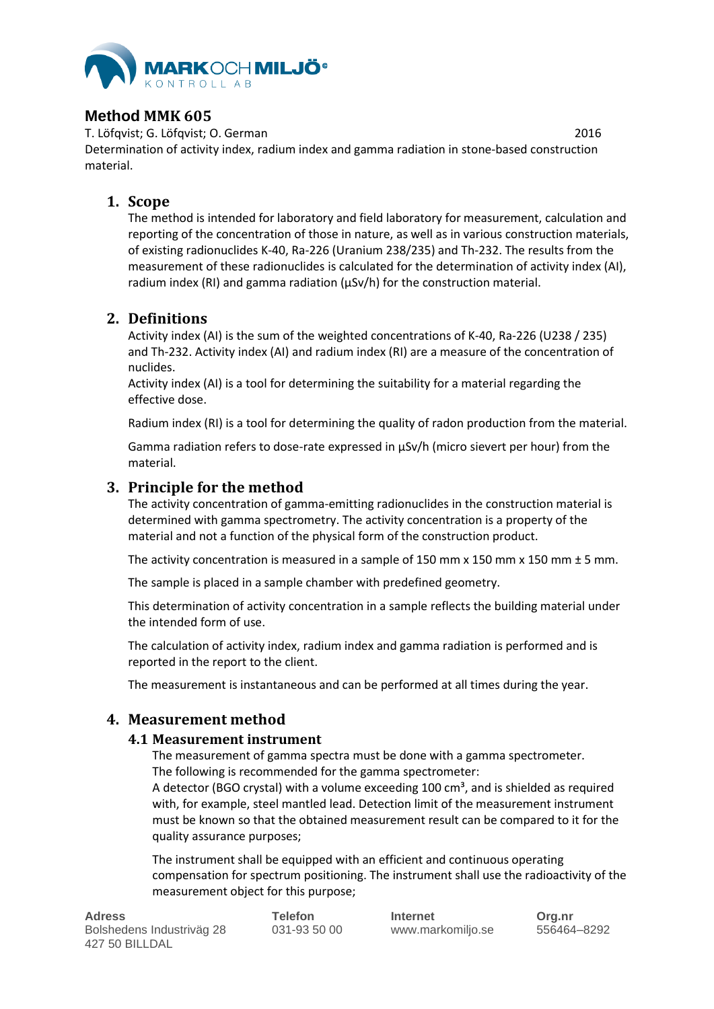

## **Method MMK 605**

T. Löfqvist; G. Löfqvist; O. German 2016 Determination of activity index, radium index and gamma radiation in stone-based construction material.

## **1. Scope**

The method is intended for laboratory and field laboratory for measurement, calculation and reporting of the concentration of those in nature, as well as in various construction materials, of existing radionuclides K-40, Ra-226 (Uranium 238/235) and Th-232. The results from the measurement of these radionuclides is calculated for the determination of activity index (AI), radium index (RI) and gamma radiation (µSv/h) for the construction material.

## **2. Definitions**

Activity index (AI) is the sum of the weighted concentrations of K-40, Ra-226 (U238 / 235) and Th-232. Activity index (AI) and radium index (RI) are a measure of the concentration of nuclides.

Activity index (AI) is a tool for determining the suitability for a material regarding the effective dose.

Radium index (RI) is a tool for determining the quality of radon production from the material.

Gamma radiation refers to dose-rate expressed in µSv/h (micro sievert per hour) from the material.

# **3. Principle for the method**

The activity concentration of gamma-emitting radionuclides in the construction material is determined with gamma spectrometry. The activity concentration is a property of the material and not a function of the physical form of the construction product.

The activity concentration is measured in a sample of 150 mm  $\times$  150 mm  $\times$  150 mm  $\pm$  5 mm.

The sample is placed in a sample chamber with predefined geometry.

This determination of activity concentration in a sample reflects the building material under the intended form of use.

The calculation of activity index, radium index and gamma radiation is performed and is reported in the report to the client.

The measurement is instantaneous and can be performed at all times during the year.

# **4. Measurement method**

### **4.1 Measurement instrument**

The measurement of gamma spectra must be done with a gamma spectrometer. The following is recommended for the gamma spectrometer:

A detector (BGO crystal) with a volume exceeding  $100 \text{ cm}^3$ , and is shielded as required with, for example, steel mantled lead. Detection limit of the measurement instrument must be known so that the obtained measurement result can be compared to it for the quality assurance purposes;

The instrument shall be equipped with an efficient and continuous operating compensation for spectrum positioning. The instrument shall use the radioactivity of the measurement object for this purpose;

| <b>Adress</b>             | <b>Telefon</b> | <b>Internet</b>   | Org.nr      |
|---------------------------|----------------|-------------------|-------------|
| Bolshedens Industriväg 28 | 031-93 50 00   | www.markomiljo.se | 556464–8292 |
| 427 50 BILLDAL            |                |                   |             |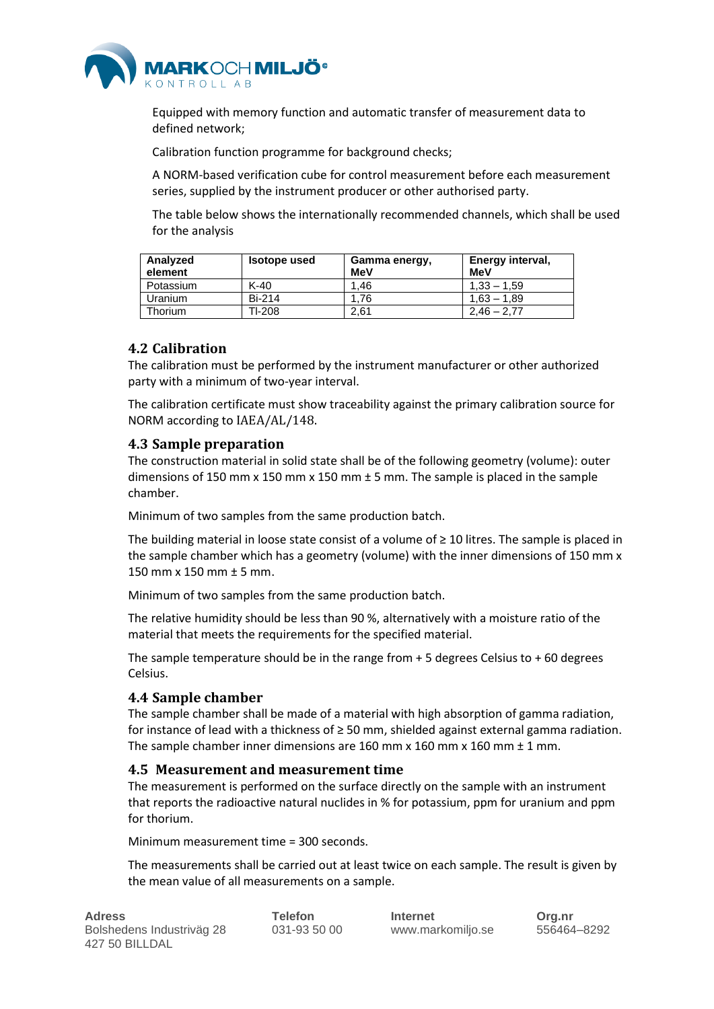

Equipped with memory function and automatic transfer of measurement data to defined network;

Calibration function programme for background checks;

A NORM-based verification cube for control measurement before each measurement series, supplied by the instrument producer or other authorised party.

The table below shows the internationally recommended channels, which shall be used for the analysis

| Analyzed<br>element | <b>Isotope used</b> | Gamma energy,<br>MeV | Energy interval,<br>MeV |
|---------------------|---------------------|----------------------|-------------------------|
| Potassium           | $K-40$              | 1.46                 | $1.33 - 1.59$           |
| Uranium             | Bi-214              | 1.76                 | $1.63 - 1.89$           |
| Thorium             | TI-208              | 2.61                 | $2.46 - 2.77$           |

### **4.2 Calibration**

The calibration must be performed by the instrument manufacturer or other authorized party with a minimum of two-year interval.

The calibration certificate must show traceability against the primary calibration source for NORM according to IAEA/AL/148.

#### **4.3 Sample preparation**

The construction material in solid state shall be of the following geometry (volume): outer dimensions of 150 mm x 150 mm x 150 mm  $\pm$  5 mm. The sample is placed in the sample chamber.

Minimum of two samples from the same production batch.

The building material in loose state consist of a volume of ≥ 10 litres. The sample is placed in the sample chamber which has a geometry (volume) with the inner dimensions of 150 mm x 150 mm x 150 mm ± 5 mm.

Minimum of two samples from the same production batch.

The relative humidity should be less than 90 %, alternatively with a moisture ratio of the material that meets the requirements for the specified material.

The sample temperature should be in the range from  $+5$  degrees Celsius to  $+60$  degrees Celsius.

#### **4.4 Sample chamber**

The sample chamber shall be made of a material with high absorption of gamma radiation, for instance of lead with a thickness of  $\geq$  50 mm, shielded against external gamma radiation. The sample chamber inner dimensions are 160 mm x 160 mm x 160 mm  $\pm$  1 mm.

#### **4.5 Measurement and measurement time**

The measurement is performed on the surface directly on the sample with an instrument that reports the radioactive natural nuclides in % for potassium, ppm for uranium and ppm for thorium.

Minimum measurement time = 300 seconds.

The measurements shall be carried out at least twice on each sample. The result is given by the mean value of all measurements on a sample.

| <b>Adress</b>             | Telefon      | Internet          | Org.nr      |
|---------------------------|--------------|-------------------|-------------|
| Bolshedens Industriväg 28 | 031-93 50 00 | www.markomiljo.se | 556464–8292 |
| 427 50 BILLDAL            |              |                   |             |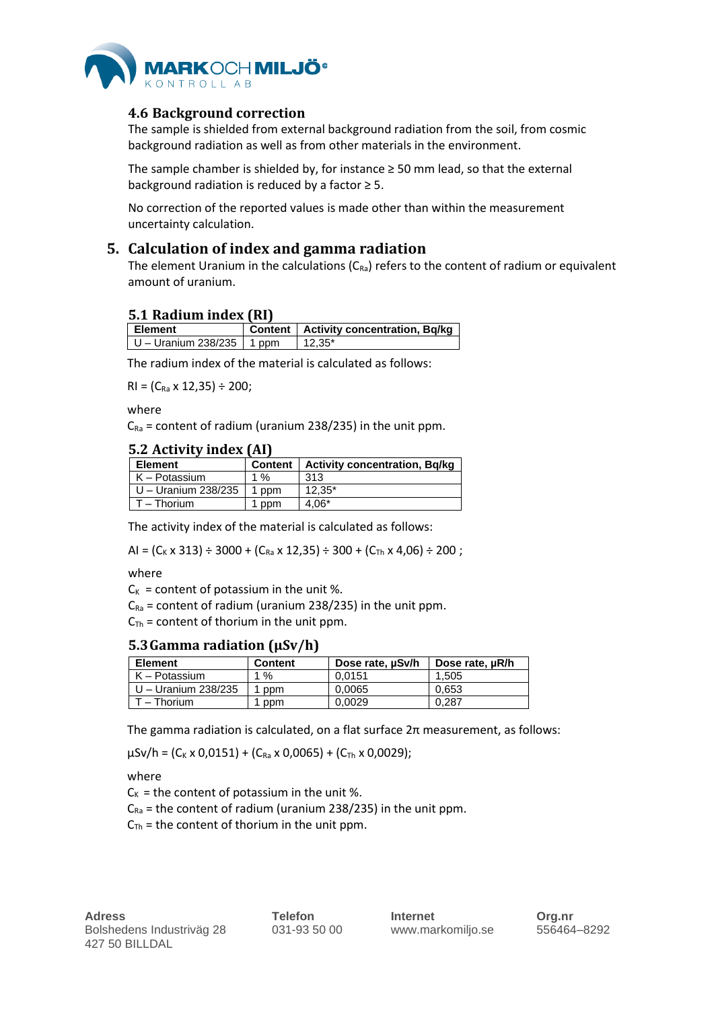

### **4.6 Background correction**

The sample is shielded from external background radiation from the soil, from cosmic background radiation as well as from other materials in the environment.

The sample chamber is shielded by, for instance  $\geq$  50 mm lead, so that the external background radiation is reduced by a factor  $\geq$  5.

No correction of the reported values is made other than within the measurement uncertainty calculation.

### **5. Calculation of index and gamma radiation**

The element Uranium in the calculations  $(C_{Ra})$  refers to the content of radium or equivalent amount of uranium.

#### **5.1 Radium index (RI)**

| l Element                   | Content   Activity concentration, Bq/kg |
|-----------------------------|-----------------------------------------|
| U – Uranium 238/235   1 ppm | $12.35*$                                |

The radium index of the material is calculated as follows:

 $RI = (C_{Ra} \times 12,35) \div 200;$ 

where

 $C_{Ra}$  = content of radium (uranium 238/235) in the unit ppm.

#### **5.2 Activity index (AI)**

| <b>Element</b>      | <b>Content</b> | <b>Activity concentration, Bg/kg</b> |
|---------------------|----------------|--------------------------------------|
| K – Potassium       | 1 %            | 313                                  |
| U – Uranium 238/235 | 1 ppm          | $12.35*$                             |
| $T - Thorium$       | ppm            | $4.06*$                              |

The activity index of the material is calculated as follows:

AI =  $(C_K \times 313) \div 3000 + (C_{Ra} \times 12,35) \div 300 + (C_{Th} \times 4,06) \div 200$ ;

#### where

 $C_K$  = content of potassium in the unit %.

 $C_{Ra}$  = content of radium (uranium 238/235) in the unit ppm.

 $C_{\text{Th}}$  = content of thorium in the unit ppm.

#### **5.3Gamma radiation (µSv/h)**

| <b>Element</b>      | <b>Content</b> | Dose rate, uSv/h | Dose rate, µR/h |
|---------------------|----------------|------------------|-----------------|
| K – Potassium       | 1%             | 0.0151           | 1.505           |
| U - Uranium 238/235 | ppm            | 0.0065           | 0.653           |
| T – Thorium         | ppm            | 0.0029           | 0.287           |

The gamma radiation is calculated, on a flat surface 2π measurement, as follows:

 $\mu$ Sv/h = (C<sub>K</sub> x 0,0151) + (C<sub>Ra</sub> x 0,0065) + (C<sub>Th</sub> x 0,0029);

where

 $C_K$  = the content of potassium in the unit %.

 $C_{Ra}$  = the content of radium (uranium 238/235) in the unit ppm.

 $C_{\text{Th}}$  = the content of thorium in the unit ppm.